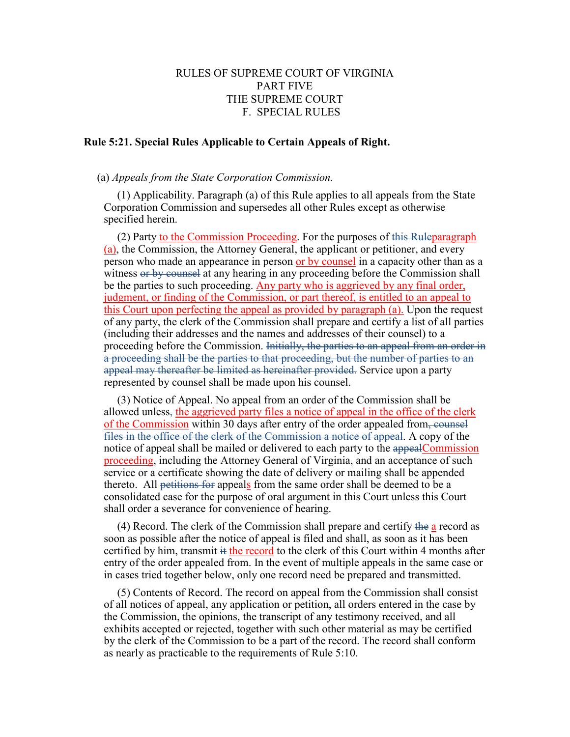## RULES OF SUPREME COURT OF VIRGINIA PART FIVE THE SUPREME COURT F. SPECIAL RULES

## **Rule 5:21. Special Rules Applicable to Certain Appeals of Right.**

## (a) *Appeals from the State Corporation Commission.*

(1) Applicability. Paragraph (a) of this Rule applies to all appeals from the State Corporation Commission and supersedes all other Rules except as otherwise specified herein.

(2) Party to the Commission Proceeding. For the purposes of this Ruleparagraph (a), the Commission, the Attorney General, the applicant or petitioner, and every person who made an appearance in person or by counsel in a capacity other than as a witness or by counsel at any hearing in any proceeding before the Commission shall be the parties to such proceeding. Any party who is aggrieved by any final order, judgment, or finding of the Commission, or part thereof, is entitled to an appeal to this Court upon perfecting the appeal as provided by paragraph (a). Upon the request of any party, the clerk of the Commission shall prepare and certify a list of all parties (including their addresses and the names and addresses of their counsel) to a proceeding before the Commission. Initially, the parties to an appeal from an order in a proceeding shall be the parties to that proceeding, but the number of parties to an appeal may thereafter be limited as hereinafter provided. Service upon a party represented by counsel shall be made upon his counsel.

(3) Notice of Appeal. No appeal from an order of the Commission shall be allowed unless, the aggrieved party files a notice of appeal in the office of the clerk of the Commission within 30 days after entry of the order appealed from, counsel files in the office of the clerk of the Commission a notice of appeal. A copy of the notice of appeal shall be mailed or delivered to each party to the appealCommission proceeding, including the Attorney General of Virginia, and an acceptance of such service or a certificate showing the date of delivery or mailing shall be appended thereto. All petitions for appeals from the same order shall be deemed to be a consolidated case for the purpose of oral argument in this Court unless this Court shall order a severance for convenience of hearing.

(4) Record. The clerk of the Commission shall prepare and certify the a record as soon as possible after the notice of appeal is filed and shall, as soon as it has been certified by him, transmit it the record to the clerk of this Court within 4 months after entry of the order appealed from. In the event of multiple appeals in the same case or in cases tried together below, only one record need be prepared and transmitted.

(5) Contents of Record. The record on appeal from the Commission shall consist of all notices of appeal, any application or petition, all orders entered in the case by the Commission, the opinions, the transcript of any testimony received, and all exhibits accepted or rejected, together with such other material as may be certified by the clerk of the Commission to be a part of the record. The record shall conform as nearly as practicable to the requirements of Rule 5:10.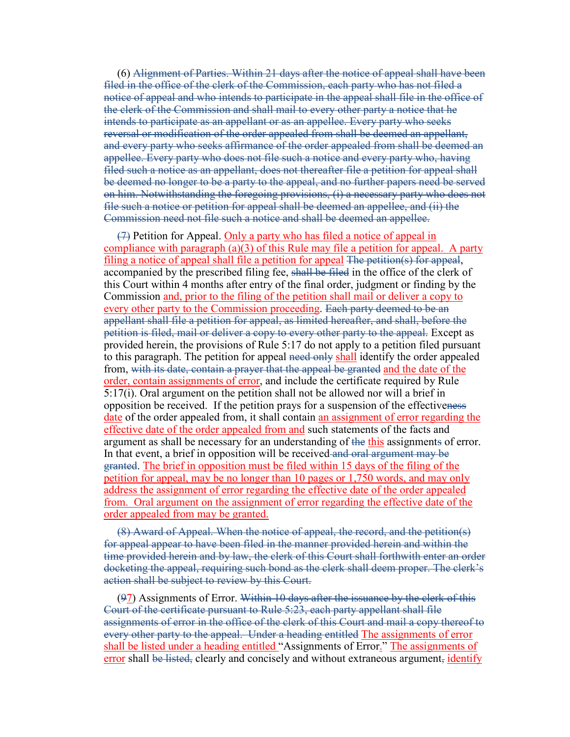(6) Alignment of Parties. Within 21 days after the notice of appeal shall have been filed in the office of the clerk of the Commission, each party who has not filed a notice of appeal and who intends to participate in the appeal shall file in the office of the clerk of the Commission and shall mail to every other party a notice that he intends to participate as an appellant or as an appellee. Every party who seeks reversal or modification of the order appealed from shall be deemed an appellant, and every party who seeks affirmance of the order appealed from shall be deemed an appellee. Every party who does not file such a notice and every party who, having filed such a notice as an appellant, does not thereafter file a petition for appeal shall be deemed no longer to be a party to the appeal, and no further papers need be served on him. Notwithstanding the foregoing provisions, (i) a necessary party who does not file such a notice or petition for appeal shall be deemed an appellee, and (ii) the Commission need not file such a notice and shall be deemed an appellee.

 $(7)$  Petition for Appeal. Only a party who has filed a notice of appeal in compliance with paragraph  $(a)(3)$  of this Rule may file a petition for appeal. A party filing a notice of appeal shall file a petition for appeal The petition(s) for appeal, accompanied by the prescribed filing fee, shall be filed in the office of the clerk of this Court within 4 months after entry of the final order, judgment or finding by the Commission and, prior to the filing of the petition shall mail or deliver a copy to every other party to the Commission proceeding. Each party deemed to be an appellant shall file a petition for appeal, as limited hereafter, and shall, before the petition is filed, mail or deliver a copy to every other party to the appeal. Except as provided herein, the provisions of Rule 5:17 do not apply to a petition filed pursuant to this paragraph. The petition for appeal need only shall identify the order appealed from, with its date, contain a prayer that the appeal be granted and the date of the order, contain assignments of error, and include the certificate required by Rule 5:17(i). Oral argument on the petition shall not be allowed nor will a brief in opposition be received. If the petition prays for a suspension of the effectiveness date of the order appealed from, it shall contain an assignment of error regarding the effective date of the order appealed from and such statements of the facts and argument as shall be necessary for an understanding of the this assignments of error. In that event, a brief in opposition will be received and oral argument may be granted. The brief in opposition must be filed within 15 days of the filing of the petition for appeal, may be no longer than 10 pages or 1,750 words, and may only address the assignment of error regarding the effective date of the order appealed from. Oral argument on the assignment of error regarding the effective date of the order appealed from may be granted.

(8) Award of Appeal. When the notice of appeal, the record, and the petition(s) for appeal appear to have been filed in the manner provided herein and within the time provided herein and by law, the clerk of this Court shall forthwith enter an order docketing the appeal, requiring such bond as the clerk shall deem proper. The clerk's action shall be subject to review by this Court.

 $(97)$  Assignments of Error. Within 10 days after the issuance by the clerk of this Court of the certificate pursuant to Rule 5:23, each party appellant shall file assignments of error in the office of the clerk of this Court and mail a copy thereof to every other party to the appeal. Under a heading entitled The assignments of error shall be listed under a heading entitled "Assignments of Error." The assignments of error shall be listed, clearly and concisely and without extraneous argument, identify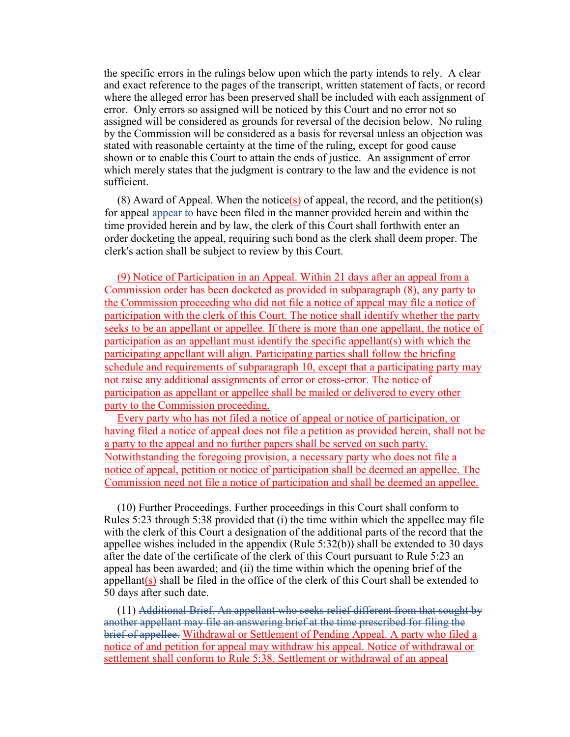the specific errors in the rulings below upon which the party intends to rely. A clear and exact reference to the pages of the transcript, written statement of facts, or record where the alleged error has been preserved shall be included with each assignment of error. Only errors so assigned will be noticed by this Court and no error not so assigned will be considered as grounds for reversal of the decision below. No ruling by the Commission will be considered as a basis for reversal unless an objection was stated with reasonable certainty at the time of the ruling, except for good cause shown or to enable this Court to attain the ends of justice. An assignment of error which merely states that the judgment is contrary to the law and the evidence is not sufficient.

(8) Award of Appeal. When the notice(s) of appeal, the record, and the petition(s) for appeal appear to have been filed in the manner provided herein and within the time provided herein and by law, the clerk of this Court shall forthwith enter an order docketing the appeal, requiring such bond as the clerk shall deem proper. The clerk's action shall be subject to review by this Court.

(9) Notice of Participation in an Appeal. Within 21 days after an appeal from a Commission order has been docketed as provided in subparagraph (8), any party to the Commission proceeding who did not file a notice of appeal may file a notice of participation with the clerk of this Court. The notice shall identify whether the party seeks to be an appellant or appellee. If there is more than one appellant, the notice of participation as an appellant must identify the specific appellant(s) with which the participating appellant will align. Participating parties shall follow the briefing schedule and requirements of subparagraph 10, except that a participating party may not raise any additional assignments of error or cross-error. The notice of participation as appellant or appellee shall be mailed or delivered to every other party to the Commission proceeding.

Every party who has not filed a notice of appeal or notice of participation, or having filed a notice of appeal does not file a petition as provided herein, shall not be a party to the appeal and no further papers shall be served on such party. Notwithstanding the foregoing provision, a necessary party who does not file a notice of appeal, petition or notice of participation shall be deemed an appellee. The Commission need not file a notice of participation and shall be deemed an appellee.

(10) Further Proceedings. Further proceedings in this Court shall conform to Rules 5:23 through 5:38 provided that (i) the time within which the appellee may file with the clerk of this Court a designation of the additional parts of the record that the appellee wishes included in the appendix (Rule 5:32(b)) shall be extended to 30 days after the date of the certificate of the clerk of this Court pursuant to Rule 5:23 an appeal has been awarded; and (ii) the time within which the opening brief of the appellant( $s$ ) shall be filed in the office of the clerk of this Court shall be extended to 50 days after such date.

(11) Additional Brief. An appellant who seeks relief different from that sought by another appellant may file an answering brief at the time prescribed for filing the brief of appellee. Withdrawal or Settlement of Pending Appeal. A party who filed a notice of and petition for appeal may withdraw his appeal. Notice of withdrawal or settlement shall conform to Rule 5:38. Settlement or withdrawal of an appeal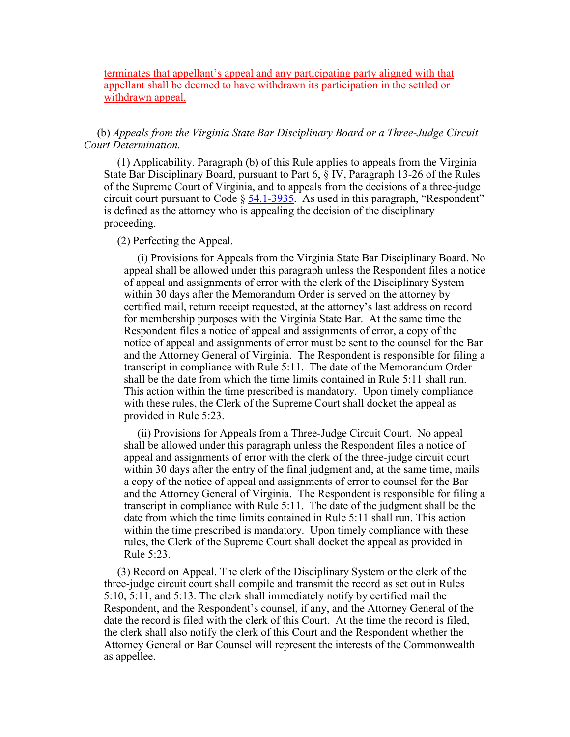terminates that appellant's appeal and any participating party aligned with that appellant shall be deemed to have withdrawn its participation in the settled or withdrawn appeal.

(b) *Appeals from the Virginia State Bar Disciplinary Board or a Three-Judge Circuit Court Determination.*

(1) Applicability. Paragraph (b) of this Rule applies to appeals from the Virginia State Bar Disciplinary Board, pursuant to Part 6, § IV, Paragraph 13-26 of the Rules of the Supreme Court of Virginia, and to appeals from the decisions of a three-judge circuit court pursuant to Code  $\S$  [54.1-3935.](http://leg1.state.va.us/cgi-bin/legp504.exe?000+cod+54.1-3935) As used in this paragraph, "Respondent" is defined as the attorney who is appealing the decision of the disciplinary proceeding.

(2) Perfecting the Appeal.

(i) Provisions for Appeals from the Virginia State Bar Disciplinary Board. No appeal shall be allowed under this paragraph unless the Respondent files a notice of appeal and assignments of error with the clerk of the Disciplinary System within 30 days after the Memorandum Order is served on the attorney by certified mail, return receipt requested, at the attorney's last address on record for membership purposes with the Virginia State Bar. At the same time the Respondent files a notice of appeal and assignments of error, a copy of the notice of appeal and assignments of error must be sent to the counsel for the Bar and the Attorney General of Virginia. The Respondent is responsible for filing a transcript in compliance with Rule 5:11. The date of the Memorandum Order shall be the date from which the time limits contained in Rule 5:11 shall run. This action within the time prescribed is mandatory. Upon timely compliance with these rules, the Clerk of the Supreme Court shall docket the appeal as provided in Rule 5:23.

(ii) Provisions for Appeals from a Three-Judge Circuit Court. No appeal shall be allowed under this paragraph unless the Respondent files a notice of appeal and assignments of error with the clerk of the three-judge circuit court within 30 days after the entry of the final judgment and, at the same time, mails a copy of the notice of appeal and assignments of error to counsel for the Bar and the Attorney General of Virginia. The Respondent is responsible for filing a transcript in compliance with Rule 5:11. The date of the judgment shall be the date from which the time limits contained in Rule 5:11 shall run. This action within the time prescribed is mandatory. Upon timely compliance with these rules, the Clerk of the Supreme Court shall docket the appeal as provided in Rule 5:23.

(3) Record on Appeal. The clerk of the Disciplinary System or the clerk of the three-judge circuit court shall compile and transmit the record as set out in Rules 5:10, 5:11, and 5:13. The clerk shall immediately notify by certified mail the Respondent, and the Respondent's counsel, if any, and the Attorney General of the date the record is filed with the clerk of this Court. At the time the record is filed, the clerk shall also notify the clerk of this Court and the Respondent whether the Attorney General or Bar Counsel will represent the interests of the Commonwealth as appellee.